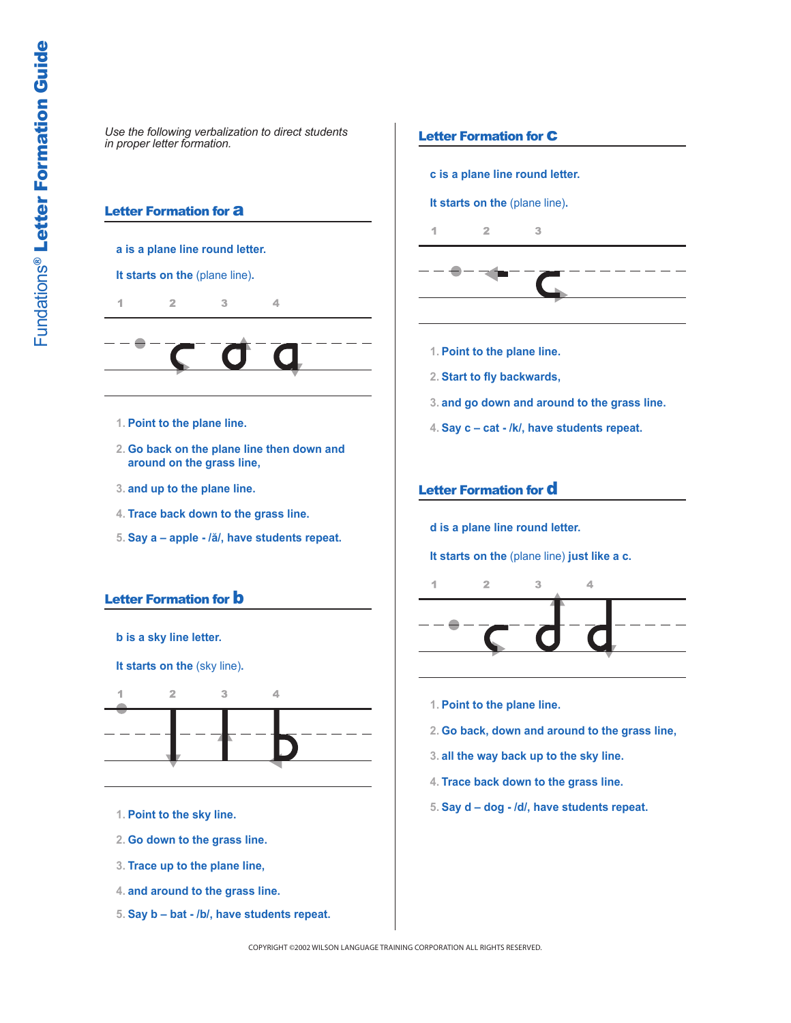### **Letter Formation for a**

#### **a is a plane line round letter.**

#### **It starts on the** (plane line)**.**

 $\overline{2}$ 4  $\mathcal{R}$  $\Delta$ 



- **1. Point to the plane line.**
- **2. Go back on the plane line then down and around on the grass line,**
- **3. and up to the plane line.**
- **4. Trace back down to the grass line.**
- **5. Say a apple /ă/, have students repeat.**

# Letter Formation for **b**



**It starts on the** (sky line)**.**



- **1. Point to the sky line.**
- **2. Go down to the grass line.**
- **3. Trace up to the plane line,**
- **4. and around to the grass line.**
- **5. Say b bat /b/, have students repeat.**

### **Letter Formation for C**

**c is a plane line round letter.**

**It starts on the** (plane line)**.**

 $\overline{2}$  $\overline{3}$ 4



- **1. Point to the plane line.**
- **2. Start to fly backwards,**
- **3. and go down and around to the grass line.**
- **4. Say c cat /k/, have students repeat.**

## Letter Formation for d

**d is a plane line round letter.**

**It starts on the** (plane line) **just like a c.**



- **1. Point to the plane line.**
- **2. Go back, down and around to the grass line,**
- **3. all the way back up to the sky line.**
- **4. Trace back down to the grass line.**
- **5. Say d dog /d/, have students repeat.**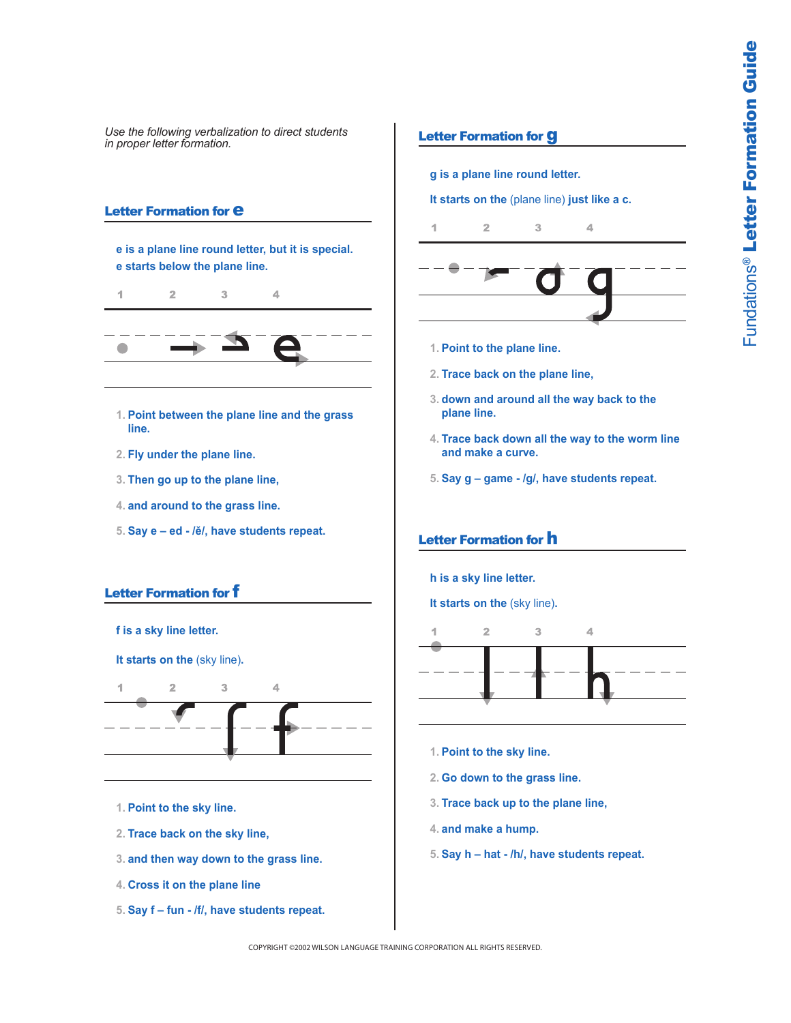## **Letter Formation for**  $e$

**e is a plane line round letter, but it is special. e starts below the plane line.**

4  $\overline{2}$ 3  $\overline{4}$ 

- **1. Point between the plane line and the grass line.**
- **2. Fly under the plane line.**
- **3. Then go up to the plane line,**
- **4. and around to the grass line.**
- **5. Say e ed /ĕ/, have students repeat.**

# Letter Formation for f



**It starts on the** (sky line)**.**



- **1. Point to the sky line.**
- **2. Trace back on the sky line,**
- **3. and then way down to the grass line.**
- **4. Cross it on the plane line**
- **5. Say f fun /f/, have students repeat.**

# Letter Formation for g

**g is a plane line round letter.**

**It starts on the** (plane line) **just like a c.**

 $\overline{2}$ 3 1 4



- **1. Point to the plane line.**
- **2. Trace back on the plane line,**
- **3. down and around all the way back to the plane line.**
- **4. Trace back down all the way to the worm line and make a curve.**
- **5. Say g game /g/, have students repeat.**

# Letter Formation for h

**h is a sky line letter.**

**It starts on the** (sky line)**.**



- **1. Point to the sky line.**
- **2. Go down to the grass line.**
- **3. Trace back up to the plane line,**
- **4. and make a hump.**
- **5. Say h hat /h/, have students repeat.**

COPYRIGHT ©2002 WILSON LANGUAGE TRAINING CORPORATION ALL RIGHTS RESERVED.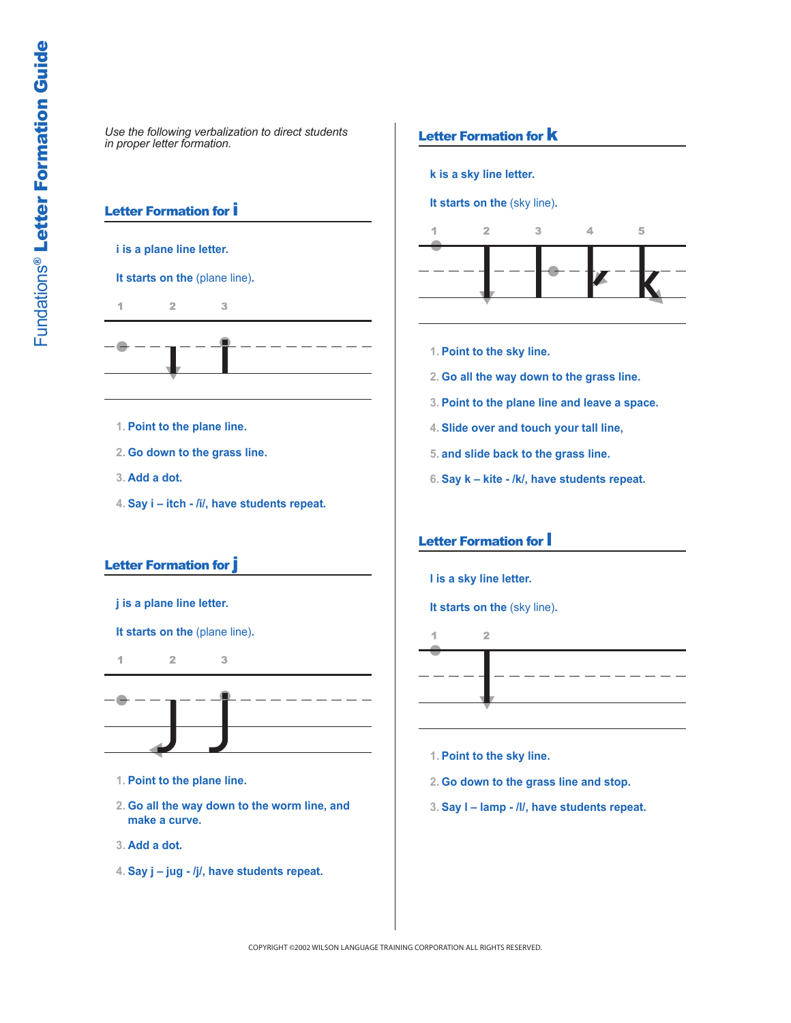# Letter Formation for i

**i is a plane line letter.**

### **It starts on the** (plane line)**.**

 $\overline{2}$  $\overline{3}$ 1

- **1. Point to the plane line.**
- **2. Go down to the grass line.**
- **3. Add a dot.**
- **4. Say i itch /ĭ/, have students repeat.**

#### Letter Formation for j



**It starts on the** (plane line)**.**

 $\overline{2}$  $\overline{3}$ 4



**1. Point to the plane line.**

- **2. Go all the way down to the worm line, and make a curve.**
- **3. Add a dot.**
- **4. Say j jug /j/, have students repeat.**

# Letter Formation for **K**

**k is a sky line letter.**

**It starts on the** (sky line)**.**



- **1. Point to the sky line.**
- **2. Go all the way down to the grass line.**
- **3. Point to the plane line and leave a space.**
- **4. Slide over and touch your tall line,**
- **5. and slide back to the grass line.**
- **6. Say k kite /k/, have students repeat.**

# Letter Formation for l

**l is a sky line letter.**

**It starts on the** (sky line)**.**



- **1. Point to the sky line.**
- **2. Go down to the grass line and stop.**
- **3. Say l lamp /l/, have students repeat.**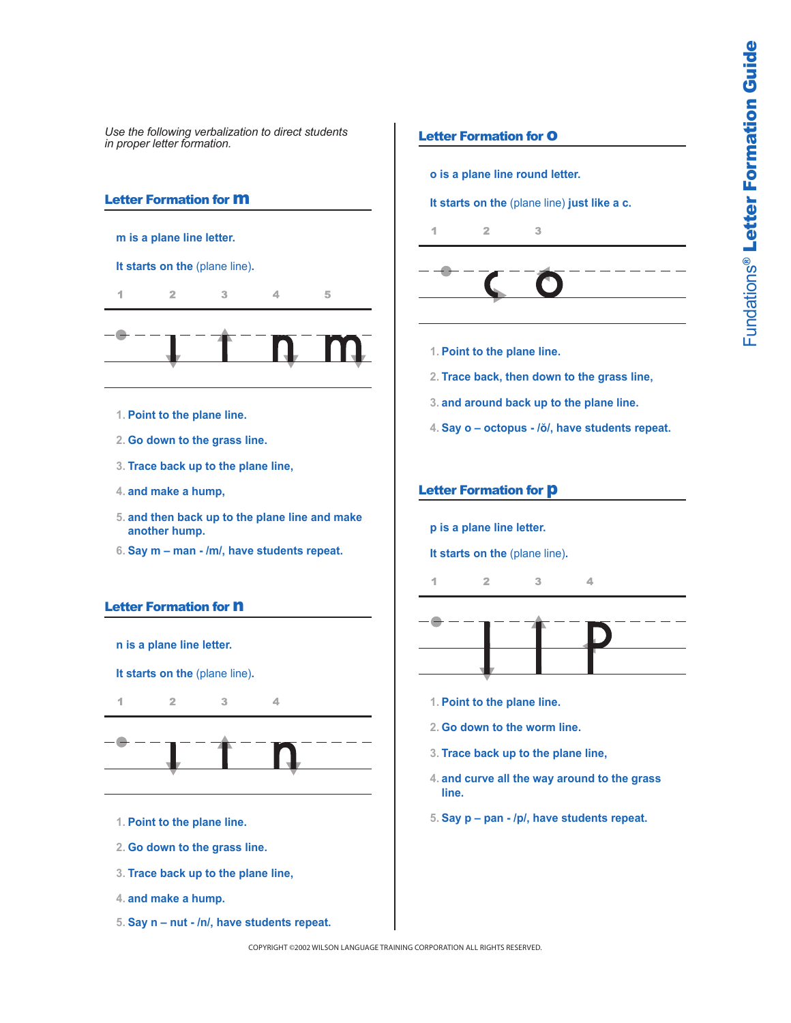# Letter Formation for m

- **m is a plane line letter.**
- **It starts on the** (plane line)**.**



- **1. Point to the plane line.**
- **2. Go down to the grass line.**
- **3. Trace back up to the plane line,**
- **4. and make a hump,**
- **5. and then back up to the plane line and make another hump.**
- **6. Say m man /m/, have students repeat.**

# Letter Formation for **n**

**n is a plane line letter.**

**It starts on the** (plane line)**.**

4  $\overline{2}$ 3



 $\overline{\mathcal{L}}$ 

- **1. Point to the plane line.**
- **2. Go down to the grass line.**
- **3. Trace back up to the plane line,**
- **4. and make a hump.**
- **5. Say n nut /n/, have students repeat.**

### **Letter Formation for O**

**o is a plane line round letter.**

**It starts on the** (plane line) **just like a c.**





- **1. Point to the plane line.**
- **2. Trace back, then down to the grass line,**
- **3. and around back up to the plane line.**
- **4. Say o octopus /ŏ/, have students repeat.**

#### Letter Formation for **p**

**p is a plane line letter.**

**It starts on the** (plane line)**.**

 $\overline{2}$  $\overline{\mathcal{R}}$ 4



 $\Delta$ 

- **1. Point to the plane line.**
- **2. Go down to the worm line.**
- **3. Trace back up to the plane line,**
- **4. and curve all the way around to the grass line.**
- **5. Say p pan /p/, have students repeat.**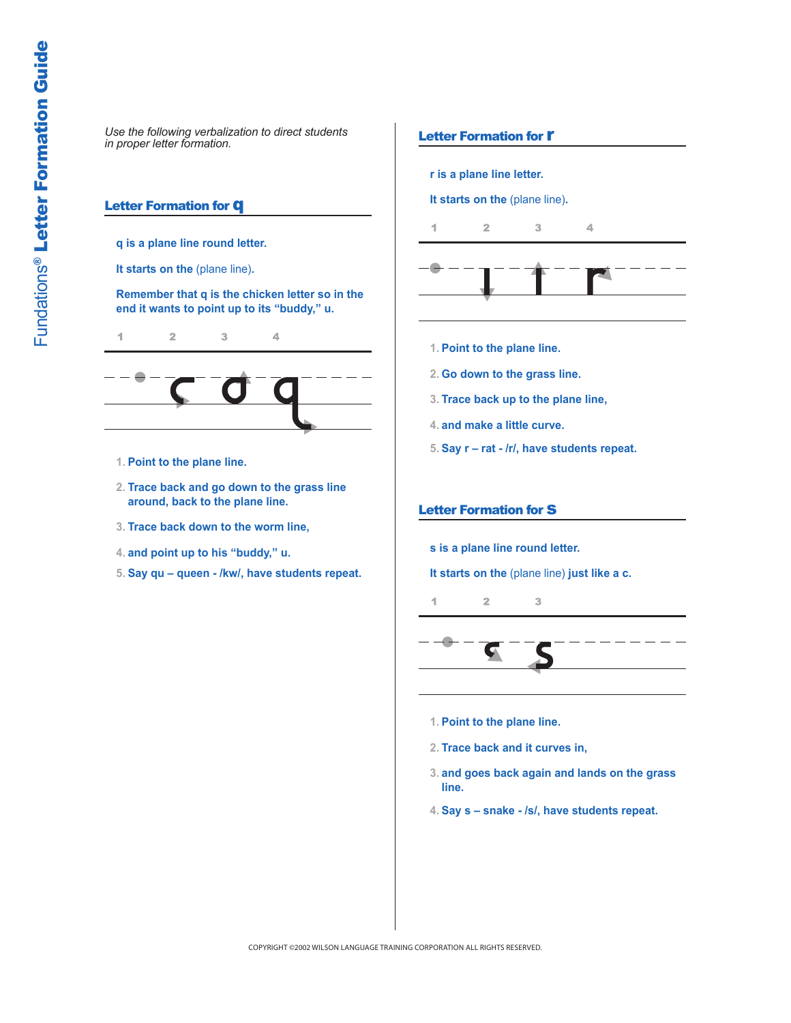# **Letter Formation for Q**

**q is a plane line round letter.**

**It starts on the** (plane line)**.**

**Remember that q is the chicken letter so in the end it wants to point up to its "buddy," u.**

1  $\bar{z}$ 3 4



- **1. Point to the plane line.**
- **2. Trace back and go down to the grass line around, back to the plane line.**
- **3. Trace back down to the worm line,**
- **4. and point up to his "buddy," u.**
- **5. Say qu queen /kw/, have students repeat.**

#### Letter Formation for **r**

**r is a plane line letter.**

**It starts on the** (plane line)**.**

 $\overline{2}$ 1 3  $\overline{\mathcal{A}}$ 



- **1. Point to the plane line.**
- **2. Go down to the grass line.**
- **3. Trace back up to the plane line,**
- **4. and make a little curve.**
- **5. Say r rat /r/, have students repeat.**

#### **Letter Formation for S**

**s is a plane line round letter.**

**It starts on the** (plane line) **just like a c.**

 $\overline{2}$  $\overline{3}$ 4



- **1. Point to the plane line.**
- **2. Trace back and it curves in,**
- **3. and goes back again and lands on the grass line.**
- **4. Say s snake /s/, have students repeat.**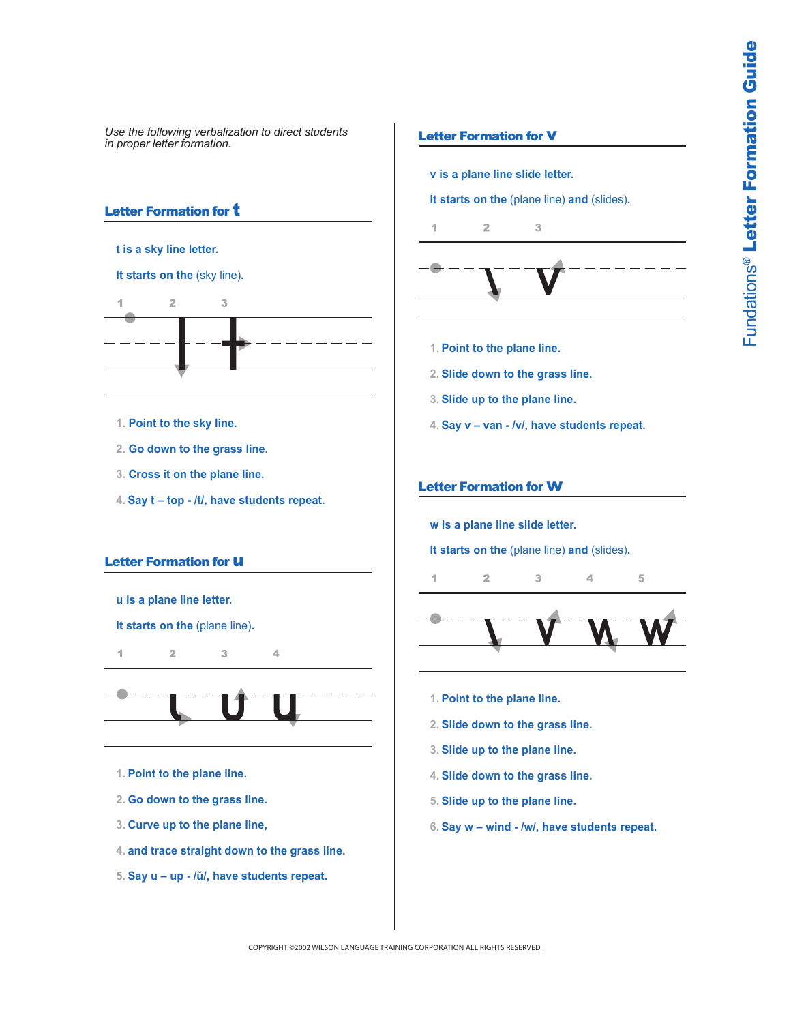## Letter Formation for **t**

**t is a sky line letter.**

**It starts on the** (sky line)**.**



- **1. Point to the sky line.**
- **2. Go down to the grass line.**
- **3. Cross it on the plane line.**
- **4. Say t top /t/, have students repeat.**

#### **Letter Formation for U**

**u is a plane line letter.**

**It starts on the** (plane line)**.**

1  $\overline{2}$ 3 4



- **1. Point to the plane line.**
- **2. Go down to the grass line.**
- **3. Curve up to the plane line,**
- **4. and trace straight down to the grass line.**
- **5. Say u up /ŭ/, have students repeat.**

### **Letter Formation for V**

**v is a plane line slide letter.**

**It starts on the** (plane line) **and** (slides)**.**





- **1. Point to the plane line.**
- **2. Slide down to the grass line.**
- **3. Slide up to the plane line.**
- **4. Say v van /v/, have students repeat.**

#### Letter Formation for w

 $\overline{2}$ 

4

**w is a plane line slide letter.**

**It starts on the** (plane line) **and** (slides)**.**

3



4

5

- **1. Point to the plane line.**
- **2. Slide down to the grass line.**
- **3. Slide up to the plane line.**
- **4. Slide down to the grass line.**
- **5. Slide up to the plane line.**
- **6. Say w wind /w/, have students repeat.**